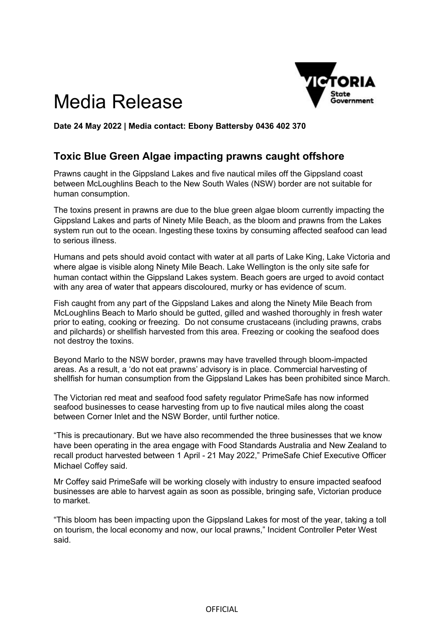

## Media Release

**Date 24 May 2022 | Media contact: Ebony Battersby 0436 402 370** 

## **Toxic Blue Green Algae impacting prawns caught offshore**

Prawns caught in the Gippsland Lakes and five nautical miles off the Gippsland coast between McLoughlins Beach to the New South Wales (NSW) border are not suitable for human consumption.

The toxins present in prawns are due to the blue green algae bloom currently impacting the Gippsland Lakes and parts of Ninety Mile Beach, as the bloom and prawns from the Lakes system run out to the ocean. Ingesting these toxins by consuming affected seafood can lead to serious illness.

Humans and pets should avoid contact with water at all parts of Lake King, Lake Victoria and where algae is visible along Ninety Mile Beach. Lake Wellington is the only site safe for human contact within the Gippsland Lakes system. Beach goers are urged to avoid contact with any area of water that appears discoloured, murky or has evidence of scum.

Fish caught from any part of the Gippsland Lakes and along the Ninety Mile Beach from McLoughlins Beach to Marlo should be gutted, gilled and washed thoroughly in fresh water prior to eating, cooking or freezing. Do not consume crustaceans (including prawns, crabs and pilchards) or shellfish harvested from this area. Freezing or cooking the seafood does not destroy the toxins.

Beyond Marlo to the NSW border, prawns may have travelled through bloom-impacted areas. As a result, a 'do not eat prawns' advisory is in place. Commercial harvesting of shellfish for human consumption from the Gippsland Lakes has been prohibited since March.

The Victorian red meat and seafood food safety regulator PrimeSafe has now informed seafood businesses to cease harvesting from up to five nautical miles along the coast between Corner Inlet and the NSW Border, until further notice.

"This is precautionary. But we have also recommended the three businesses that we know have been operating in the area engage with Food Standards Australia and New Zealand to recall product harvested between 1 April - 21 May 2022," PrimeSafe Chief Executive Officer Michael Coffey said.

Mr Coffey said PrimeSafe will be working closely with industry to ensure impacted seafood businesses are able to harvest again as soon as possible, bringing safe, Victorian produce to market.

"This bloom has been impacting upon the Gippsland Lakes for most of the year, taking a toll on tourism, the local economy and now, our local prawns," Incident Controller Peter West said.